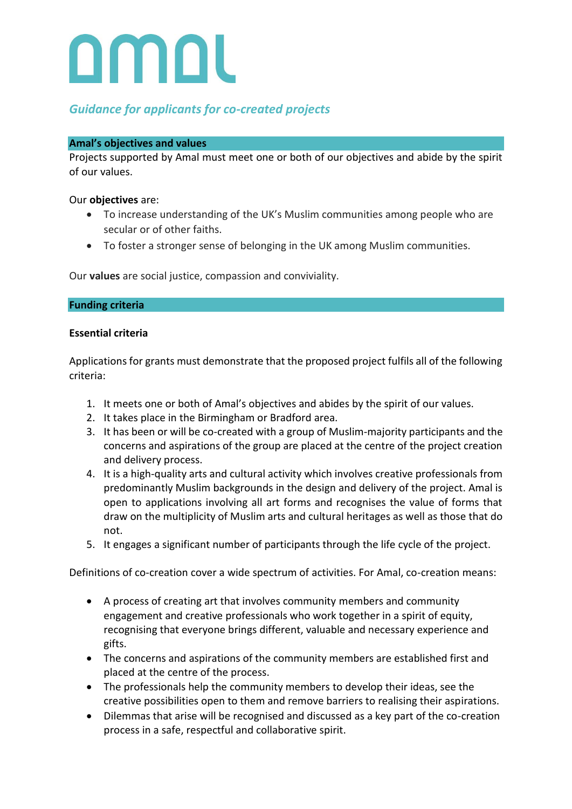

# *Guidance for applicants for co-created projects*

### **Amal's objectives and values**

Projects supported by Amal must meet one or both of our objectives and abide by the spirit of our values.

## Our **objectives** are:

- To increase understanding of the UK's Muslim communities among people who are secular or of other faiths.
- To foster a stronger sense of belonging in the UK among Muslim communities.

Our **values** are social justice, compassion and conviviality.

## **Funding criteria**

## **Essential criteria**

Applications for grants must demonstrate that the proposed project fulfils all of the following criteria:

- 1. It meets one or both of Amal's objectives and abides by the spirit of our values.
- 2. It takes place in the Birmingham or Bradford area.
- 3. It has been or will be co-created with a group of Muslim-majority participants and the concerns and aspirations of the group are placed at the centre of the project creation and delivery process.
- 4. It is a high-quality arts and cultural activity which involves creative professionals from predominantly Muslim backgrounds in the design and delivery of the project. Amal is open to applications involving all art forms and recognises the value of forms that draw on the multiplicity of Muslim arts and cultural heritages as well as those that do not.
- 5. It engages a significant number of participants through the life cycle of the project.

Definitions of co-creation cover a wide spectrum of activities. For Amal, co-creation means:

- A process of creating art that involves community members and community engagement and creative professionals who work together in a spirit of equity, recognising that everyone brings different, valuable and necessary experience and gifts.
- The concerns and aspirations of the community members are established first and placed at the centre of the process.
- The professionals help the community members to develop their ideas, see the creative possibilities open to them and remove barriers to realising their aspirations.
- Dilemmas that arise will be recognised and discussed as a key part of the co-creation process in a safe, respectful and collaborative spirit.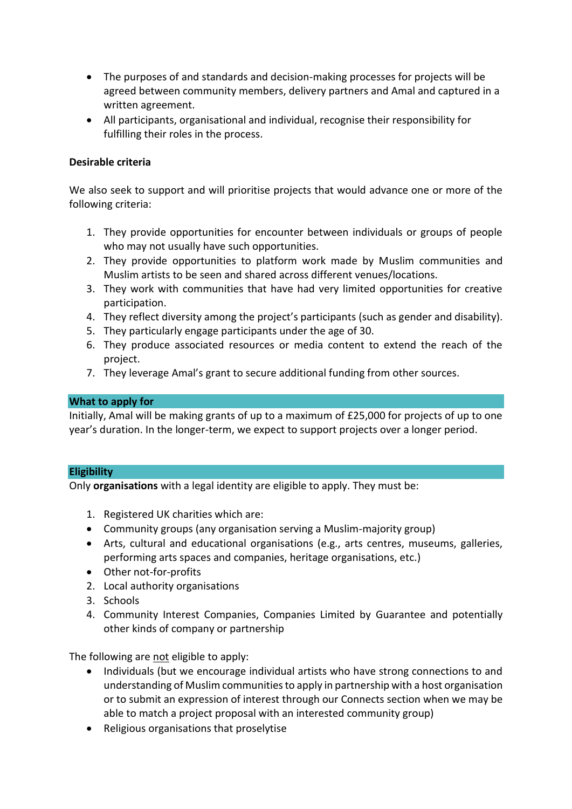- The purposes of and standards and decision-making processes for projects will be agreed between community members, delivery partners and Amal and captured in a written agreement.
- All participants, organisational and individual, recognise their responsibility for fulfilling their roles in the process.

# **Desirable criteria**

We also seek to support and will prioritise projects that would advance one or more of the following criteria:

- 1. They provide opportunities for encounter between individuals or groups of people who may not usually have such opportunities.
- 2. They provide opportunities to platform work made by Muslim communities and Muslim artists to be seen and shared across different venues/locations.
- 3. They work with communities that have had very limited opportunities for creative participation.
- 4. They reflect diversity among the project's participants (such as gender and disability).
- 5. They particularly engage participants under the age of 30.
- 6. They produce associated resources or media content to extend the reach of the project.
- 7. They leverage Amal's grant to secure additional funding from other sources.

# **What to apply for**

Initially, Amal will be making grants of up to a maximum of £25,000 for projects of up to one year's duration. In the longer-term, we expect to support projects over a longer period.

## **Eligibility**

Only **organisations** with a legal identity are eligible to apply. They must be:

- 1. Registered UK charities which are:
- Community groups (any organisation serving a Muslim-majority group)
- Arts, cultural and educational organisations (e.g., arts centres, museums, galleries, performing arts spaces and companies, heritage organisations, etc.)
- Other not-for-profits
- 2. Local authority organisations
- 3. Schools
- 4. Community Interest Companies, Companies Limited by Guarantee and potentially other kinds of company or partnership

The following are not eligible to apply:

- Individuals (but we encourage individual artists who have strong connections to and understanding of Muslim communities to apply in partnership with a host organisation or to submit an expression of interest through our Connects section when we may be able to match a project proposal with an interested community group)
- Religious organisations that proselytise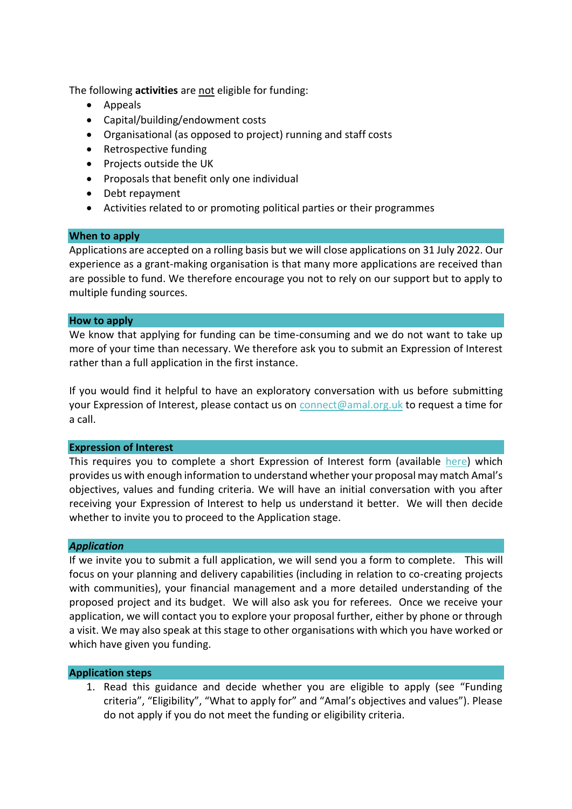The following **activities** are not eligible for funding:

- Appeals
- Capital/building/endowment costs
- Organisational (as opposed to project) running and staff costs
- Retrospective funding
- Projects outside the UK
- Proposals that benefit only one individual
- Debt repayment
- Activities related to or promoting political parties or their programmes

#### **When to apply**

Applications are accepted on a rolling basis but we will close applications on 31 July 2022. Our experience as a grant-making organisation is that many more applications are received than are possible to fund. We therefore encourage you not to rely on our support but to apply to multiple funding sources.

#### **How to apply**

We know that applying for funding can be time-consuming and we do not want to take up more of your time than necessary. We therefore ask you to submit an Expression of Interest rather than a full application in the first instance.

If you would find it helpful to have an exploratory conversation with us before submitting your Expression of Interest, please contact us on [connect@amal.org.uk](mailto:connect@amal.org.uk) to request a time for a call.

#### **Expression of Interest**

This requires you to complete a short Expression of Interest form (available [here\)](https://amal.org.uk/apply/apply/) which provides us with enough information to understand whether your proposal may match Amal's objectives, values and funding criteria. We will have an initial conversation with you after receiving your Expression of Interest to help us understand it better. We will then decide whether to invite you to proceed to the Application stage.

#### *Application*

If we invite you to submit a full application, we will send you a form to complete. This will focus on your planning and delivery capabilities (including in relation to co-creating projects with communities), your financial management and a more detailed understanding of the proposed project and its budget. We will also ask you for referees. Once we receive your application, we will contact you to explore your proposal further, either by phone or through a visit. We may also speak at this stage to other organisations with which you have worked or which have given you funding.

#### **Application steps**

1. Read this guidance and decide whether you are eligible to apply (see "Funding criteria", "Eligibility", "What to apply for" and "Amal's objectives and values"). Please do not apply if you do not meet the funding or eligibility criteria.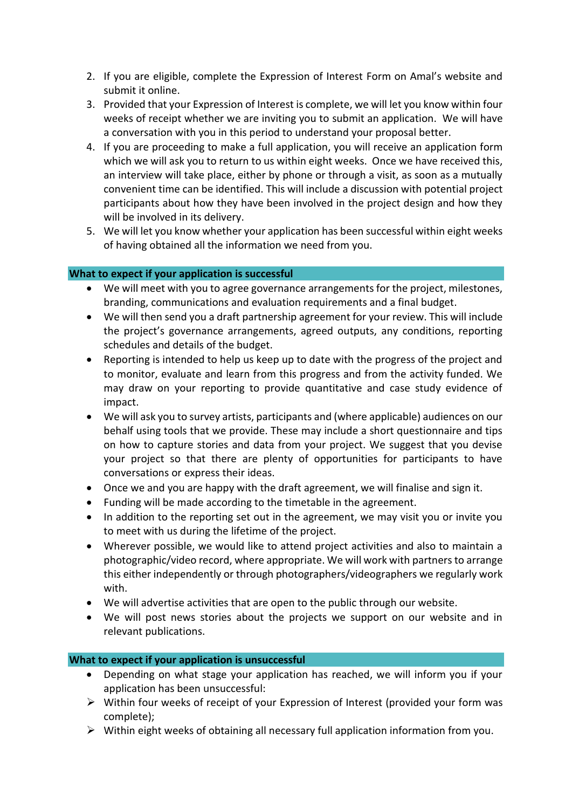- 2. If you are eligible, complete the Expression of Interest Form on Amal's website and submit it online.
- 3. Provided that your Expression of Interest is complete, we will let you know within four weeks of receipt whether we are inviting you to submit an application. We will have a conversation with you in this period to understand your proposal better.
- 4. If you are proceeding to make a full application, you will receive an application form which we will ask you to return to us within eight weeks. Once we have received this, an interview will take place, either by phone or through a visit, as soon as a mutually convenient time can be identified. This will include a discussion with potential project participants about how they have been involved in the project design and how they will be involved in its delivery.
- 5. We will let you know whether your application has been successful within eight weeks of having obtained all the information we need from you.

# **What to expect if your application is successful**

- We will meet with you to agree governance arrangements for the project, milestones, branding, communications and evaluation requirements and a final budget.
- We will then send you a draft partnership agreement for your review. This will include the project's governance arrangements, agreed outputs, any conditions, reporting schedules and details of the budget.
- Reporting is intended to help us keep up to date with the progress of the project and to monitor, evaluate and learn from this progress and from the activity funded. We may draw on your reporting to provide quantitative and case study evidence of impact.
- We will ask you to survey artists, participants and (where applicable) audiences on our behalf using tools that we provide. These may include a short questionnaire and tips on how to capture stories and data from your project. We suggest that you devise your project so that there are plenty of opportunities for participants to have conversations or express their ideas.
- Once we and you are happy with the draft agreement, we will finalise and sign it.
- Funding will be made according to the timetable in the agreement.
- In addition to the reporting set out in the agreement, we may visit you or invite you to meet with us during the lifetime of the project.
- Wherever possible, we would like to attend project activities and also to maintain a photographic/video record, where appropriate. We will work with partnersto arrange this either independently or through photographers/videographers we regularly work with.
- We will advertise activities that are open to the public through our website.
- We will post news stories about the projects we support on our website and in relevant publications.

# **What to expect if your application is unsuccessful**

- Depending on what stage your application has reached, we will inform you if your application has been unsuccessful:
- ➢ Within four weeks of receipt of your Expression of Interest (provided your form was complete);
- ➢ Within eight weeks of obtaining all necessary full application information from you.